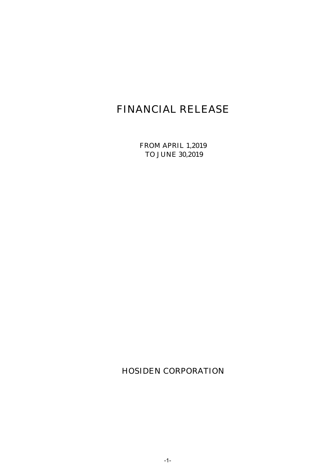# FINANCIAL RELEASE

FROM APRIL 1,2019 TO JUNE 30,2019

HOSIDEN CORPORATION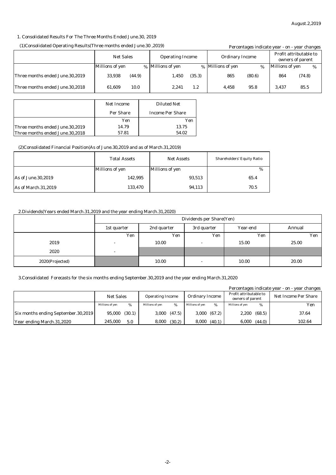#### 1. Consolidated Results For The Three Months Ended June.30, 2019

#### (1)Consolidated Operating Results(Three months ended June.30 ,2019)

| (193, 198). (1)Consolidated Operating Results (Three months ended June. 30, 2019) |                                             |        |                        |         |                   | Percentages indicate year - on - year changes |                 |        |  |
|-----------------------------------------------------------------------------------|---------------------------------------------|--------|------------------------|---------|-------------------|-----------------------------------------------|-----------------|--------|--|
|                                                                                   | <b>Net Sales</b><br><b>Operating Income</b> |        | <b>Ordinary Income</b> |         |                   | Profit attributable to<br>owners of parent    |                 |        |  |
|                                                                                   | Millions of yen                             |        | % Millions of yen      |         | % Millions of yen | %                                             | Millions of yen | %      |  |
| Three months ended June.30,2019                                                   | 33.938                                      | (44.9) | 1.450                  | (35.3)  | 865               | (80.6)                                        | 864             | (74.8) |  |
| Three months ended June.30.2018                                                   | 61.609                                      | 10.0   | 2.241                  | $1.2\,$ | 4.458             | 95.8                                          | 3.437           | 85.5   |  |

|                                 | Net Income | <b>Diluted Net</b>      |
|---------------------------------|------------|-------------------------|
|                                 | Per Share  | <b>Income Per Share</b> |
|                                 | Yen        | Yen                     |
| Three months ended June.30,2019 | 14.79      | 13.75                   |
| Three months ended June.30,2018 | 57.81      | 54.02                   |

#### (2)Consolidated Financial Position(As of June.30,2019 and as of March.31,2019)

|                      | <b>Total Assets</b> | <b>Net Assets</b>      | <b>Shareholders' Equity Ratio</b> |
|----------------------|---------------------|------------------------|-----------------------------------|
|                      | Millions of yen     | <b>Millions of yen</b> | %                                 |
| As of June. 30, 2019 | 142.995             | 93,513                 | 65.4                              |
| As of March.31,2019  | 133.470             | 94,113                 | 70.5                              |

#### 2.Dividends(Years ended March.31,2019 and the year ending March.31,2020)

|                 | Dividends per Share(Yen) |             |                          |          |        |  |  |  |
|-----------------|--------------------------|-------------|--------------------------|----------|--------|--|--|--|
|                 | 1st quarter              | 2nd quarter | 3rd quarter              | Year-end | Annual |  |  |  |
|                 | Yen                      | Yen         | Yen                      | Yen      | Yen    |  |  |  |
| 2019            | $\overline{\phantom{a}}$ | 10.00       | $\overline{\phantom{a}}$ | 15.00    | 25.00  |  |  |  |
| 2020            | $\overline{\phantom{0}}$ |             |                          |          |        |  |  |  |
| 2020(Projected) |                          | 10.00       | $\overline{\phantom{0}}$ | 10.00    | 20.00  |  |  |  |

#### 3.Consolidated Forecasts for the six months ending September.30,2019 and the year ending March.31,2020

|                                            |                  |        |                         |        |                        |        |                                            |        | Percentages indicate year - on - year changes |
|--------------------------------------------|------------------|--------|-------------------------|--------|------------------------|--------|--------------------------------------------|--------|-----------------------------------------------|
|                                            | <b>Net Sales</b> |        | <b>Operating Income</b> |        | <b>Ordinary Income</b> |        | Profit attributable to<br>owners of parent |        | <b>Net Income Per Share</b>                   |
|                                            | Millions of ven  | %      | Millions of ven         | $\%$   | Millions of ven        | %      | Millions of ven                            | %      | Yen                                           |
| <b>Six months ending September.30,2019</b> | 95,000           | (30.1) | 3,000                   | (47.5) | 3,000                  | (67.2) | 2,200                                      | (68.5) | 37.64                                         |
| Year ending March.31,2020                  | 245.000          | 5.0    | 8,000                   | (30.2) | 8,000                  | (40.1) | 6,000                                      | (44.0) | 102.64                                        |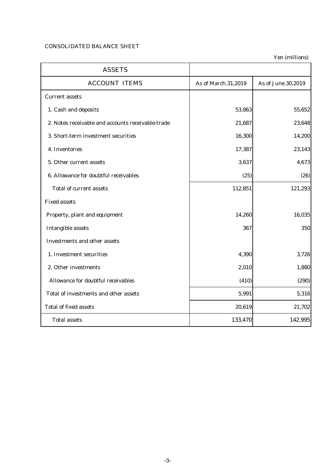## CONSOLIDATED BALANCE SHEET

| <b>ASSETS</b>                                     |                     |                    |
|---------------------------------------------------|---------------------|--------------------|
| <b>ACCOUNT ITEMS</b>                              | As of March.31,2019 | As of June.30,2019 |
| <b>Current assets</b>                             |                     |                    |
| 1. Cash and deposits                              | 53,863              | 55,652             |
| 2. Notes receivable and accounts receivable-trade | 21,687              | 23,648             |
| 3. Short-term investment securities               | 16,300              | 14,200             |
| 4. Inventories                                    | 17,387              | 23,143             |
| 5. Other current assets                           | 3,637               | 4,673              |
| 6. Allowance for doubtful receivables             | (25)                | (26)               |
| <b>Total of current assets</b>                    | 112,851             | 121,293            |
| <b>Fixed assets</b>                               |                     |                    |
| Property, plant and equipment                     | 14,260              | 16,035             |
| <b>Intangible assets</b>                          | 367                 | 350                |
| <b>Investments and other assets</b>               |                     |                    |
| 1. Investment securities                          | 4,390               | 3,726              |
| 2. Other investments                              | 2,010               | 1,880              |
| Allowance for doubtful receivables                | (410)               | (290)              |
| Total of investments and other assets             | 5,991               | 5,316              |
| <b>Total of fixed assets</b>                      | 20,619              | 21,702             |
| <b>Total assets</b>                               | 133,470             | 142,995            |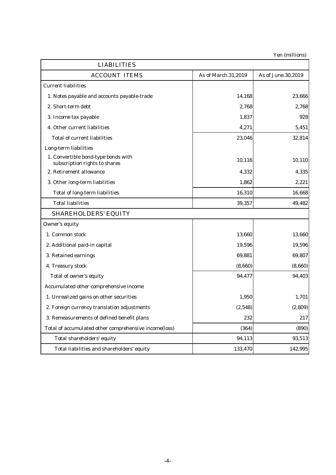| <b>LIABILITIES</b>                                                   |                     |                    |
|----------------------------------------------------------------------|---------------------|--------------------|
| <b>ACCOUNT ITEMS</b>                                                 | As of March.31,2019 | As of June.30,2019 |
| <b>Current liabilities</b>                                           |                     |                    |
| 1. Notes payable and accounts payable-trade                          | 14,168              | 23,666             |
| 2. Short-term debt                                                   | 2,768               | 2,768              |
| 3. Income tax payable                                                | 1,837               | 928                |
| 4. Other current liabilities                                         | 4,271               | 5,451              |
| <b>Total of current liabilities</b>                                  | 23,046              | 32,814             |
| Long-term liabilities                                                |                     |                    |
| 1. Convertible bond-type bonds with<br>subscription rights to shares | 10,116              | 10,110             |
| 2. Retirement allowance                                              | 4,332               | 4,335              |
| 3. Other long-term liabilities                                       | 1,862               | 2,221              |
| <b>Total of long-term liabilities</b>                                | 16,310              | 16,668             |
| <b>Total liabilities</b>                                             | 39,357              | 49,482             |
| <b>SHAREHOLDERS' EQUITY</b>                                          |                     |                    |
| Owner's equity                                                       |                     |                    |
| 1. Common stock                                                      | 13,660              | 13,660             |
| 2. Additional paid-in capital                                        | 19,596              | 19,596             |
| 3. Retained earnings                                                 | 69,881              | 69,807             |
| 4. Treasury stock                                                    | (8,660)             | (8,660)            |
| Total of owner's equity                                              | 94,477              | 94,403             |
| Accumulated other comprehensive income                               |                     |                    |
| 1. Unrealized gains on other securities                              | 1,950               | 1,701              |
| 2. Foreign currency translation adjustments                          | (2,548)             | (2, 809)           |
| 3. Remeasurements of defined benefit plans                           | 232                 | 217                |
| Total of accumulated other comprehensive income(loss)                | (364)               | (890)              |
| Total shareholders' equity                                           | 94,113              | 93,513             |
| Total liabilities and shareholders' equity                           | 133,470             | 142,995            |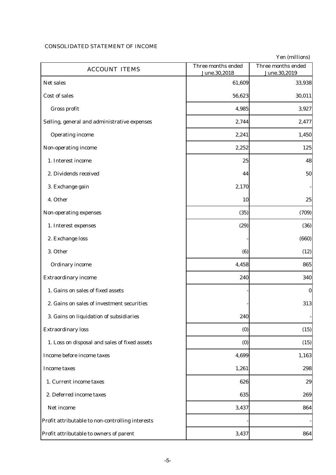### CONSOLIDATED STATEMENT OF INCOME

| <b>ACCOUNT ITEMS</b>                             | Three months ended<br>June.30,2018 | Three months ended<br>June.30,2019 |
|--------------------------------------------------|------------------------------------|------------------------------------|
| Net sales                                        | 61,609                             | 33,938                             |
| Cost of sales                                    | 56,623                             | 30,011                             |
| Gross profit                                     | 4,985                              | 3,927                              |
| Selling, general and administrative expenses     | 2,744                              | 2,477                              |
| <b>Operating income</b>                          | 2,241                              | 1,450                              |
| Non-operating income                             | 2,252                              | 125                                |
| 1. Interest income                               | 25                                 | 48                                 |
| 2. Dividends received                            | 44                                 | 50                                 |
| 3. Exchange gain                                 | 2,170                              |                                    |
| 4. Other                                         | 10                                 | 25                                 |
| Non-operating expenses                           | (35)                               | (709)                              |
| 1. Interest expenses                             | (29)                               | (36)                               |
| 2. Exchange loss                                 |                                    | (660)                              |
| 3. Other                                         | (6)                                | (12)                               |
| <b>Ordinary income</b>                           | 4,458                              | 865                                |
| <b>Extraordinary income</b>                      | 240                                | 340                                |
| 1. Gains on sales of fixed assets                |                                    | $\bf{0}$                           |
| 2. Gains on sales of investment securities       |                                    | 313                                |
| 3. Gains on liquidation of subsidiaries          | 240                                |                                    |
| <b>Extraordinary loss</b>                        | (0)                                | (15)                               |
| 1. Loss on disposal and sales of fixed assets    | (0)                                | (15)                               |
| Income before income taxes                       | 4,699                              | 1,163                              |
| <b>Income taxes</b>                              | 1,261                              | 298                                |
| 1. Current income taxes                          | 626                                | 29                                 |
| 2. Deferred income taxes                         | 635                                | 269                                |
| Net income                                       | 3,437                              | 864                                |
| Profit attributable to non-controlling interests |                                    |                                    |
| Profit attributable to owners of parent          | 3,437                              | 864                                |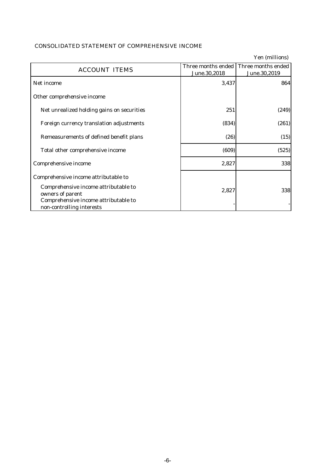| <b>CONSOLIDATED STATEMENT OF COMPREHENSIVE INCOME</b> |  |
|-------------------------------------------------------|--|
|-------------------------------------------------------|--|

|                                                                                                                               |                                    | Yen (millions)                     |
|-------------------------------------------------------------------------------------------------------------------------------|------------------------------------|------------------------------------|
| <b>ACCOUNT ITEMS</b>                                                                                                          | Three months ended<br>June.30,2018 | Three months ended<br>June.30,2019 |
| Net income                                                                                                                    | 3,437                              | 864                                |
| Other comprehensive income                                                                                                    |                                    |                                    |
| Net unrealized holding gains on securities                                                                                    | 251                                | (249)                              |
| Foreign currency translation adjustments                                                                                      | (834)                              | (261)                              |
| Remeasurements of defined benefit plans                                                                                       | (26)                               | (15)                               |
| Total other comprehensive income                                                                                              | (609)                              | (525)                              |
| Comprehensive income                                                                                                          | 2,827                              | 338                                |
| Comprehensive income attributable to                                                                                          |                                    |                                    |
| Comprehensive income attributable to<br>owners of parent<br>Comprehensive income attributable to<br>non-controlling interests | 2,827                              | 338                                |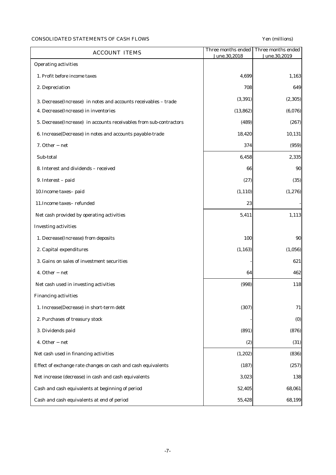# CONSOLIDATED STATEMENTS OF CASH FLOWS Yen (millions)

| <b>ACCOUNT ITEMS</b>                                               | Three months ended<br>June.30,2018 | Three months ended<br>June.30,2019 |
|--------------------------------------------------------------------|------------------------------------|------------------------------------|
| <b>Operating activities</b>                                        |                                    |                                    |
| 1. Profit before income taxes                                      | 4,699                              | 1,163                              |
| 2. Depreciation                                                    | 708                                | 649                                |
| 3. Decrease(Increase) in notes and accounts receivables - trade    | (3, 391)                           | (2, 305)                           |
| 4. Decrease(Increase) in inventories                               | (13, 862)                          | (6,076)                            |
| 5. Decrease(Increase) in accounts receivables from sub-contractors | (489)                              | (267)                              |
| 6. Increase(Decrease) in notes and accounts payable-trade          | 18,420                             | 10,131                             |
| 7. Other net                                                       | 374                                | (959)                              |
| Sub-total                                                          | 6,458                              | 2,335                              |
| 8. Interest and dividends - received                               | 66                                 | 90                                 |
| 9. Interest - paid                                                 | (27)                               | (35)                               |
| 10. Income taxes- paid                                             | (1, 110)                           | (1, 276)                           |
| 11. Income taxes-refunded                                          | 23                                 |                                    |
| Net cash provided by operating activities                          | 5,411                              | 1,113                              |
| <b>Investing activities</b>                                        |                                    |                                    |
| 1. Decrease(Increase) from deposits                                | 100                                | 90                                 |
| 2. Capital expenditures                                            | (1, 163)                           | (1,056)                            |
| 3. Gains on sales of investment securities                         |                                    | 621                                |
| 4. Other<br>net                                                    | 64                                 | 462                                |
| Net cash used in investing activities                              | (998)                              | 118                                |
| <b>Financing activities</b>                                        |                                    |                                    |
| 1. Increase(Decrease) in short-term debt                           | (307)                              | 71                                 |
| 2. Purchases of treasury stock                                     |                                    | (0)                                |
| 3. Dividends paid                                                  | (891)                              | (876)                              |
| 4. Other net                                                       | (2)                                | (31)                               |
| Net cash used in financing activities                              | (1, 202)                           | (836)                              |
| Effect of exchange rate changes on cash and cash equivalents       | (187)                              | (257)                              |
| Net increase (decrease) in cash and cash equivalents               | 3,023                              | 138                                |
| Cash and cash equivalents at beginning of period                   | 52,405                             | 68,061                             |
| Cash and cash equivalents at end of period                         | 55,428                             | 68,199                             |